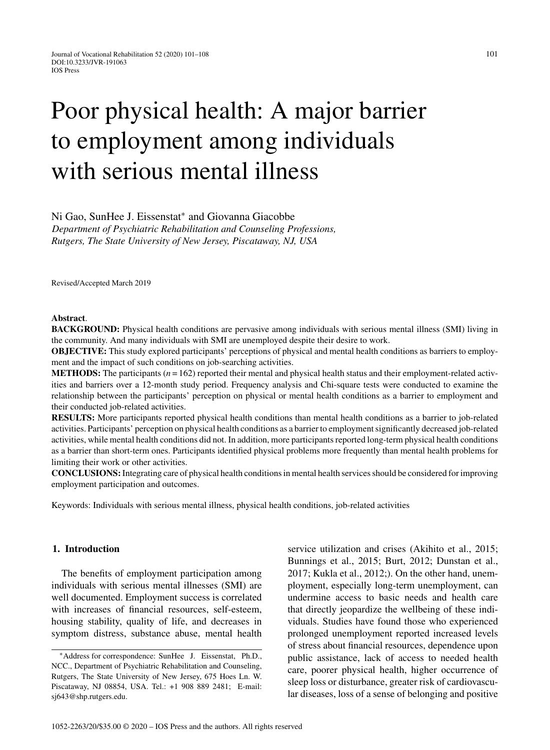# Poor physical health: A major barrier to employment among individuals with serious mental illness

## Ni Gao, SunHee J. Eissenstat<sup>∗</sup> and Giovanna Giacobbe

*Department of Psychiatric Rehabilitation and Counseling Professions, Rutgers, The State University of New Jersey, Piscataway, NJ, USA*

Revised/Accepted March 2019

#### **Abstract**.

**BACKGROUND:** Physical health conditions are pervasive among individuals with serious mental illness (SMI) living in the community. And many individuals with SMI are unemployed despite their desire to work.

**OBJECTIVE:** This study explored participants' perceptions of physical and mental health conditions as barriers to employment and the impact of such conditions on job-searching activities.

**METHODS:** The participants  $(n = 162)$  reported their mental and physical health status and their employment-related activities and barriers over a 12-month study period. Frequency analysis and Chi-square tests were conducted to examine the relationship between the participants' perception on physical or mental health conditions as a barrier to employment and their conducted job-related activities.

**RESULTS:** More participants reported physical health conditions than mental health conditions as a barrier to job-related activities. Participants' perception on physical health conditions as a barrier to employment significantly decreased job-related activities, while mental health conditions did not. In addition, more participants reported long-term physical health conditions as a barrier than short-term ones. Participants identified physical problems more frequently than mental health problems for limiting their work or other activities.

**CONCLUSIONS:**Integrating care of physical health conditions in mental health services should be considered for improving employment participation and outcomes.

Keywords: Individuals with serious mental illness, physical health conditions, job-related activities

# **1. Introduction**

The benefits of employment participation among individuals with serious mental illnesses (SMI) are well documented. Employment success is correlated with increases of financial resources, self-esteem, housing stability, quality of life, and decreases in symptom distress, substance abuse, mental health service utilization and crises (Akihito et al., 2015; Bunnings et al., 2015; Burt, 2012; Dunstan et al., 2017; Kukla et al., 2012;). On the other hand, unemployment, especially long-term unemployment, can undermine access to basic needs and health care that directly jeopardize the wellbeing of these individuals. Studies have found those who experienced prolonged unemployment reported increased levels of stress about financial resources, dependence upon public assistance, lack of access to needed health care, poorer physical health, higher occurrence of sleep loss or disturbance, greater risk of cardiovascular diseases, loss of a sense of belonging and positive

<sup>∗</sup>Address for correspondence: SunHee J. Eissenstat, Ph.D., NCC., Department of Psychiatric Rehabilitation and Counseling, Rutgers, The State University of New Jersey, 675 Hoes Ln. W. Piscataway, NJ 08854, USA. Tel.: +1 908 889 2481; E-mail: [sj643@shp.rutgers.edu](mailto:sj643@shp.rutgers.edu).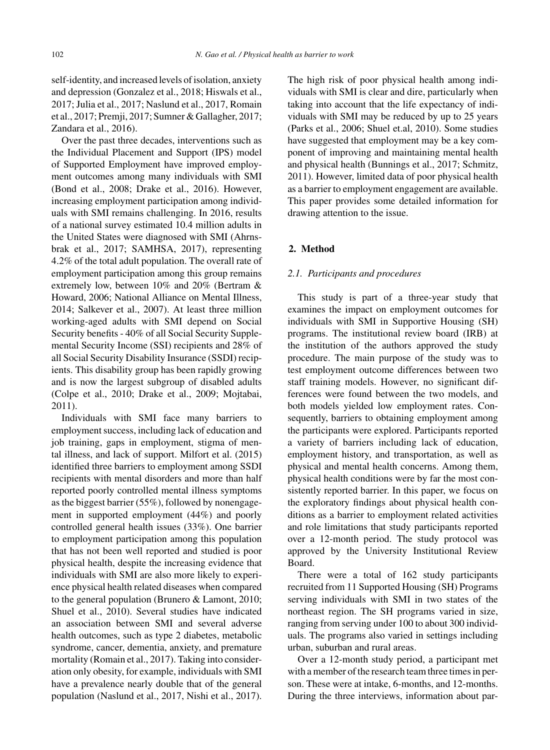self-identity, and increased levels of isolation, anxiety and depression (Gonzalez et al., 2018; Hiswals et al., 2017; Julia et al., 2017; Naslund et al., 2017, Romain et al., 2017; Premji, 2017; Sumner & Gallagher, 2017; Zandara et al., 2016).

Over the past three decades, interventions such as the Individual Placement and Support (IPS) model of Supported Employment have improved employment outcomes among many individuals with SMI (Bond et al., 2008; Drake et al., 2016). However, increasing employment participation among individuals with SMI remains challenging. In 2016, results of a national survey estimated 10.4 million adults in the United States were diagnosed with SMI (Ahrnsbrak et al., 2017; SAMHSA, 2017), representing 4.2% of the total adult population. The overall rate of employment participation among this group remains extremely low, between 10% and 20% (Bertram & Howard, 2006; National Alliance on Mental Illness, 2014; Salkever et al., 2007). At least three million working-aged adults with SMI depend on Social Security benefits - 40% of all Social Security Supplemental Security Income (SSI) recipients and 28% of all Social Security Disability Insurance (SSDI) recipients. This disability group has been rapidly growing and is now the largest subgroup of disabled adults (Colpe et al., 2010; Drake et al., 2009; Mojtabai, 2011).

Individuals with SMI face many barriers to employment success, including lack of education and job training, gaps in employment, stigma of mental illness, and lack of support. Milfort et al. (2015) identified three barriers to employment among SSDI recipients with mental disorders and more than half reported poorly controlled mental illness symptoms as the biggest barrier (55%), followed by nonengagement in supported employment (44%) and poorly controlled general health issues (33%). One barrier to employment participation among this population that has not been well reported and studied is poor physical health, despite the increasing evidence that individuals with SMI are also more likely to experience physical health related diseases when compared to the general population (Brunero & Lamont, 2010; Shuel et al., 2010). Several studies have indicated an association between SMI and several adverse health outcomes, such as type 2 diabetes, metabolic syndrome, cancer, dementia, anxiety, and premature mortality (Romain et al., 2017). Taking into consideration only obesity, for example, individuals with SMI have a prevalence nearly double that of the general population (Naslund et al., 2017, Nishi et al., 2017).

The high risk of poor physical health among individuals with SMI is clear and dire, particularly when taking into account that the life expectancy of individuals with SMI may be reduced by up to 25 years (Parks et al., 2006; Shuel et.al, 2010). Some studies have suggested that employment may be a key component of improving and maintaining mental health and physical health (Bunnings et al., 2017; Schmitz, 2011). However, limited data of poor physical health as a barrier to employment engagement are available. This paper provides some detailed information for drawing attention to the issue.

# **2. Method**

#### *2.1. Participants and procedures*

This study is part of a three-year study that examines the impact on employment outcomes for individuals with SMI in Supportive Housing (SH) programs. The institutional review board (IRB) at the institution of the authors approved the study procedure. The main purpose of the study was to test employment outcome differences between two staff training models. However, no significant differences were found between the two models, and both models yielded low employment rates. Consequently, barriers to obtaining employment among the participants were explored. Participants reported a variety of barriers including lack of education, employment history, and transportation, as well as physical and mental health concerns. Among them, physical health conditions were by far the most consistently reported barrier. In this paper, we focus on the exploratory findings about physical health conditions as a barrier to employment related activities and role limitations that study participants reported over a 12-month period. The study protocol was approved by the University Institutional Review Board.

There were a total of 162 study participants recruited from 11 Supported Housing (SH) Programs serving individuals with SMI in two states of the northeast region. The SH programs varied in size, ranging from serving under 100 to about 300 individuals. The programs also varied in settings including urban, suburban and rural areas.

Over a 12-month study period, a participant met with a member of the research team three times in person. These were at intake, 6-months, and 12-months. During the three interviews, information about par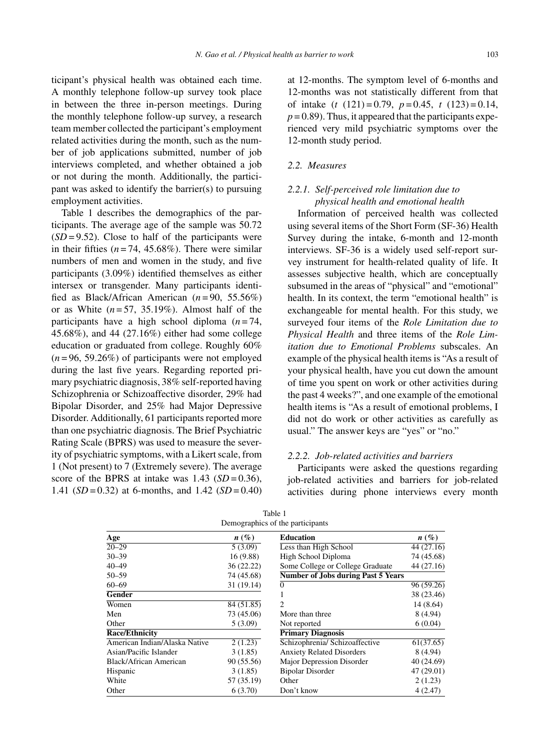ticipant's physical health was obtained each time. A monthly telephone follow-up survey took place in between the three in-person meetings. During the monthly telephone follow-up survey, a research team member collected the participant's employment related activities during the month, such as the number of job applications submitted, number of job interviews completed, and whether obtained a job or not during the month. Additionally, the participant was asked to identify the barrier(s) to pursuing employment activities.

Table 1 describes the demographics of the participants. The average age of the sample was 50.72  $(SD = 9.52)$ . Close to half of the participants were in their fifties  $(n=74, 45.68\%)$ . There were similar numbers of men and women in the study, and five participants (3.09%) identified themselves as either intersex or transgender. Many participants identified as Black/African American (*n* = 90, 55.56%) or as White  $(n=57, 35.19\%)$ . Almost half of the participants have a high school diploma  $(n=74,$ 45.68%), and 44 (27.16%) either had some college education or graduated from college. Roughly 60%  $(n=96, 59.26\%)$  of participants were not employed during the last five years. Regarding reported primary psychiatric diagnosis, 38% self-reported having Schizophrenia or Schizoaffective disorder, 29% had Bipolar Disorder, and 25% had Major Depressive Disorder. Additionally, 61 participants reported more than one psychiatric diagnosis. The Brief Psychiatric Rating Scale (BPRS) was used to measure the severity of psychiatric symptoms, with a Likert scale, from 1 (Not present) to 7 (Extremely severe). The average score of the BPRS at intake was  $1.43$  ( $SD = 0.36$ ), 1.41  $(SD = 0.32)$  at 6-months, and 1.42  $(SD = 0.40)$ 

at 12-months. The symptom level of 6-months and 12-months was not statistically different from that of intake (*t* (121) = 0.79, *p* = 0.45, *t* (123) = 0.14,  $p = 0.89$ . Thus, it appeared that the participants experienced very mild psychiatric symptoms over the 12-month study period.

# *2.2. Measures*

# *2.2.1. Self-perceived role limitation due to physical health and emotional health*

Information of perceived health was collected using several items of the Short Form (SF-36) Health Survey during the intake, 6-month and 12-month interviews. SF-36 is a widely used self-report survey instrument for health-related quality of life. It assesses subjective health, which are conceptually subsumed in the areas of "physical" and "emotional" health. In its context, the term "emotional health" is exchangeable for mental health. For this study, we surveyed four items of the *Role Limitation due to Physical Health* and three items of the *Role Limitation due to Emotional Problems* subscales. An example of the physical health items is "As a result of your physical health, have you cut down the amount of time you spent on work or other activities during the past 4 weeks?", and one example of the emotional health items is "As a result of emotional problems, I did not do work or other activities as carefully as usual." The answer keys are "yes" or "no."

#### *2.2.2. Job-related activities and barriers*

Participants were asked the questions regarding job-related activities and barriers for job-related activities during phone interviews every month

| Age                           | $n(\%)$    | <b>Education</b>                          | $n(\%)$    |  |  |
|-------------------------------|------------|-------------------------------------------|------------|--|--|
| $20 - 29$                     | 5(3.09)    | Less than High School                     | 44 (27.16) |  |  |
| $30 - 39$                     | 16(9.88)   | High School Diploma                       | 74 (45.68) |  |  |
| 40-49                         | 36(22.22)  | Some College or College Graduate          | 44 (27.16) |  |  |
| $50 - 59$                     | 74 (45.68) | <b>Number of Jobs during Past 5 Years</b> |            |  |  |
| $60 - 69$                     | 31 (19.14) | 0                                         | 96(59.26)  |  |  |
| <b>Gender</b>                 |            |                                           | 38 (23.46) |  |  |
| Women                         | 84(51.85)  | $\overline{c}$                            | 14 (8.64)  |  |  |
| Men                           | 73 (45.06) | More than three                           | 8(4.94)    |  |  |
| Other                         | 5(3.09)    | Not reported                              | 6(0.04)    |  |  |
| <b>Race/Ethnicity</b>         |            | <b>Primary Diagnosis</b>                  |            |  |  |
| American Indian/Alaska Native | 2(1.23)    | Schizophrenia/ Schizoaffective            | 61(37.65)  |  |  |
| Asian/Pacific Islander        | 3(1.85)    | <b>Anxiety Related Disorders</b>          | 8 (4.94)   |  |  |
| Black/African American        | 90 (55.56) | Major Depression Disorder                 | 40(24.69)  |  |  |
| Hispanic                      | 3(1.85)    | <b>Bipolar Disorder</b>                   | 47 (29.01) |  |  |
| White                         | 57 (35.19) | Other                                     | 2(1.23)    |  |  |
| Other                         | 6(3.70)    | Don't know                                | 4(2.47)    |  |  |

| Table 1                          |
|----------------------------------|
| Demographics of the participants |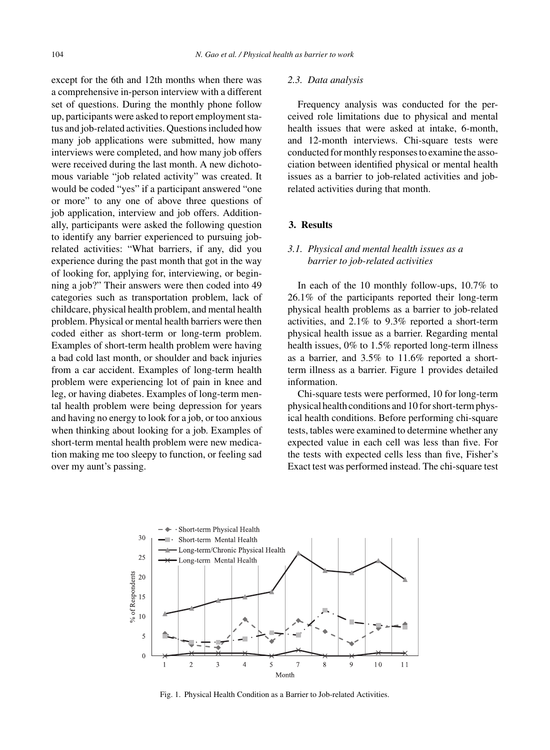except for the 6th and 12th months when there was a comprehensive in-person interview with a different set of questions. During the monthly phone follow up, participants were asked to report employment status and job-related activities. Questions included how many job applications were submitted, how many interviews were completed, and how many job offers were received during the last month. A new dichotomous variable "job related activity" was created. It would be coded "yes" if a participant answered "one or more" to any one of above three questions of job application, interview and job offers. Additionally, participants were asked the following question to identify any barrier experienced to pursuing jobrelated activities: "What barriers, if any, did you experience during the past month that got in the way of looking for, applying for, interviewing, or beginning a job?" Their answers were then coded into 49 categories such as transportation problem, lack of childcare, physical health problem, and mental health problem. Physical or mental health barriers were then coded either as short-term or long-term problem. Examples of short-term health problem were having a bad cold last month, or shoulder and back injuries from a car accident. Examples of long-term health problem were experiencing lot of pain in knee and leg, or having diabetes. Examples of long-term mental health problem were being depression for years and having no energy to look for a job, or too anxious when thinking about looking for a job. Examples of short-term mental health problem were new medication making me too sleepy to function, or feeling sad over my aunt's passing.

#### *2.3. Data analysis*

Frequency analysis was conducted for the perceived role limitations due to physical and mental health issues that were asked at intake, 6-month, and 12-month interviews. Chi-square tests were conducted for monthly responses to examine the association between identified physical or mental health issues as a barrier to job-related activities and jobrelated activities during that month.

## **3. Results**

# *3.1. Physical and mental health issues as a barrier to job-related activities*

In each of the 10 monthly follow-ups, 10.7% to 26.1% of the participants reported their long-term physical health problems as a barrier to job-related activities, and 2.1% to 9.3% reported a short-term physical health issue as a barrier. Regarding mental health issues, 0% to 1.5% reported long-term illness as a barrier, and 3.5% to 11.6% reported a shortterm illness as a barrier. Figure 1 provides detailed information.

Chi-square tests were performed, 10 for long-term physical health conditions and 10 for short-term physical health conditions. Before performing chi-square tests, tables were examined to determine whether any expected value in each cell was less than five. For the tests with expected cells less than five, Fisher's Exact test was performed instead. The chi-square test



Fig. 1. Physical Health Condition as a Barrier to Job-related Activities.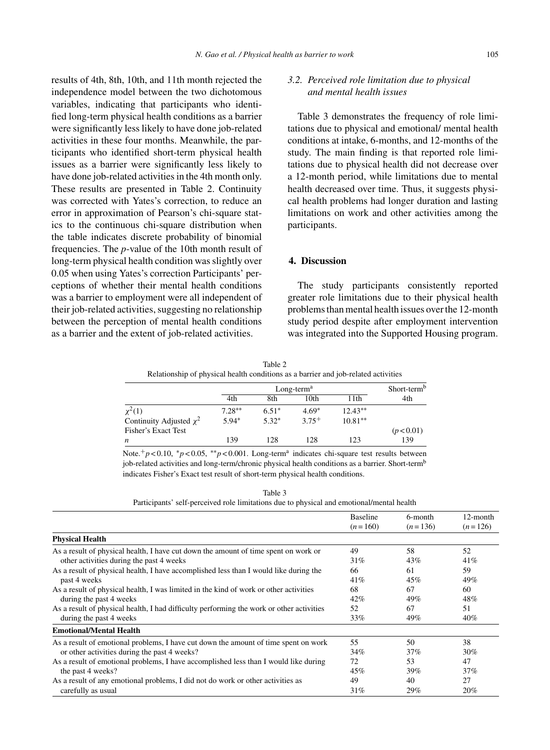results of 4th, 8th, 10th, and 11th month rejected the independence model between the two dichotomous variables, indicating that participants who identified long-term physical health conditions as a barrier were significantly less likely to have done job-related activities in these four months. Meanwhile, the participants who identified short-term physical health issues as a barrier were significantly less likely to have done job-related activities in the 4th month only. These results are presented in Table 2. Continuity was corrected with Yates's correction, to reduce an error in approximation of Pearson's chi-square statics to the continuous chi-square distribution when the table indicates discrete probability of binomial frequencies. The *p*-value of the 10th month result of long-term physical health condition was slightly over 0.05 when using Yates's correction Participants' perceptions of whether their mental health conditions was a barrier to employment were all independent of their job-related activities, suggesting no relationship between the perception of mental health conditions as a barrier and the extent of job-related activities.

*3.2. Perceived role limitation due to physical and mental health issues*

Table 3 demonstrates the frequency of role limitations due to physical and emotional/ mental health conditions at intake, 6-months, and 12-months of the study. The main finding is that reported role limitations due to physical health did not decrease over a 12-month period, while limitations due to mental health decreased over time. Thus, it suggests physical health problems had longer duration and lasting limitations on work and other activities among the participants.

# **4. Discussion**

The study participants consistently reported greater role limitations due to their physical health problems than mental health issues over the 12-month study period despite after employment intervention was integrated into the Supported Housing program.

Table 2 Relationship of physical health conditions as a barrier and job-related activities

|                              |          | $Long-terma$ |         |           |            |
|------------------------------|----------|--------------|---------|-----------|------------|
|                              | 4th      | 8th          | 10th    | 11th      | 4th        |
| $\chi^2(1)$                  | $7.28**$ | $6.51*$      | $4.69*$ | $12.43**$ |            |
| Continuity Adjusted $\chi^2$ | $5.94*$  | $5.32*$      | $3.75+$ | $10.81**$ |            |
| Fisher's Exact Test          |          |              |         |           | (p < 0.01) |
| n                            | 139      | 128          | 128     | 123       | 139        |

Note.+*p* < 0.10, <sup>∗</sup>*p* < 0.05, ∗∗*p* < 0.001. Long-terma indicates chi-square test results between job-related activities and long-term/chronic physical health conditions as a barrier. Short-term<sup>b</sup> indicates Fisher's Exact test result of short-term physical health conditions.

| ٠ |
|---|
|---|

Participants' self-perceived role limitations due to physical and emotional/mental health

|                                                                                          | <b>Baseline</b> | 6-month<br>$(n=136)$ | 12-month<br>$(n=126)$ |
|------------------------------------------------------------------------------------------|-----------------|----------------------|-----------------------|
|                                                                                          | $(n=160)$       |                      |                       |
| <b>Physical Health</b>                                                                   |                 |                      |                       |
| As a result of physical health, I have cut down the amount of time spent on work or      | 49              | 58                   | 52                    |
| other activities during the past 4 weeks                                                 | 31%             | 43%                  | 41%                   |
| As a result of physical health, I have accomplished less than I would like during the    | 66              | 61                   | 59                    |
| past 4 weeks                                                                             | 41%             | 45%                  | 49%                   |
| As a result of physical health, I was limited in the kind of work or other activities    | 68              | 67                   | 60                    |
| during the past 4 weeks                                                                  | 42%             | 49%                  | 48%                   |
| As a result of physical health, I had difficulty performing the work or other activities | 52              | 67                   | 51                    |
| during the past 4 weeks                                                                  | 33%             | 49%                  | 40%                   |
| <b>Emotional/Mental Health</b>                                                           |                 |                      |                       |
| As a result of emotional problems, I have cut down the amount of time spent on work      | 55              | 50                   | 38                    |
| or other activities during the past 4 weeks?                                             | 34%             | 37%                  | 30%                   |
| As a result of emotional problems, I have accomplished less than I would like during     | 72              | 53                   | 47                    |
| the past 4 weeks?                                                                        | 45%             | 39%                  | 37%                   |
| As a result of any emotional problems, I did not do work or other activities as          | 49              | 40                   | 27                    |
| carefully as usual                                                                       | 31%             | 29%                  | 20%                   |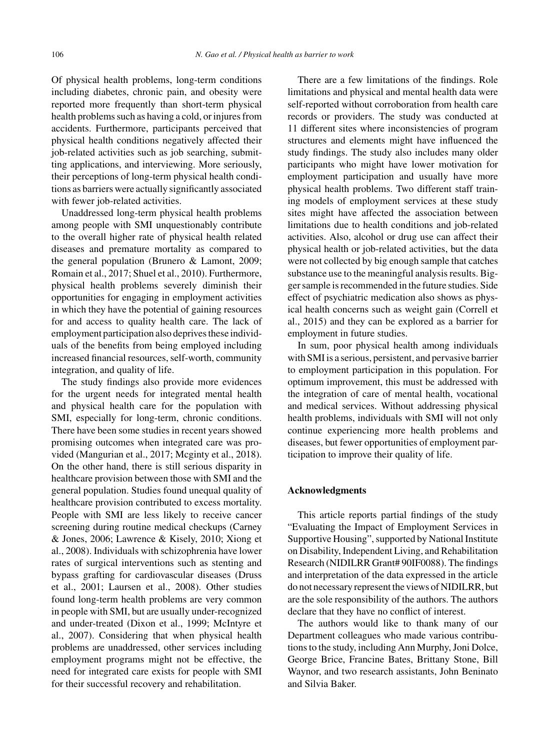Of physical health problems, long-term conditions including diabetes, chronic pain, and obesity were reported more frequently than short-term physical health problems such as having a cold, or injures from accidents. Furthermore, participants perceived that physical health conditions negatively affected their job-related activities such as job searching, submitting applications, and interviewing. More seriously, their perceptions of long-term physical health conditions as barriers were actually significantly associated with fewer job-related activities.

Unaddressed long-term physical health problems among people with SMI unquestionably contribute to the overall higher rate of physical health related diseases and premature mortality as compared to the general population (Brunero & Lamont, 2009; Romain et al., 2017; Shuel et al., 2010). Furthermore, physical health problems severely diminish their opportunities for engaging in employment activities in which they have the potential of gaining resources for and access to quality health care. The lack of employment participation also deprives these individuals of the benefits from being employed including increased financial resources, self-worth, community integration, and quality of life.

The study findings also provide more evidences for the urgent needs for integrated mental health and physical health care for the population with SMI, especially for long-term, chronic conditions. There have been some studies in recent years showed promising outcomes when integrated care was provided (Mangurian et al., 2017; Mcginty et al., 2018). On the other hand, there is still serious disparity in healthcare provision between those with SMI and the general population. Studies found unequal quality of healthcare provision contributed to excess mortality. People with SMI are less likely to receive cancer screening during routine medical checkups (Carney & Jones, 2006; Lawrence & Kisely, 2010; Xiong et al., 2008). Individuals with schizophrenia have lower rates of surgical interventions such as stenting and bypass grafting for cardiovascular diseases (Druss et al., 2001; Laursen et al., 2008). Other studies found long-term health problems are very common in people with SMI, but are usually under-recognized and under-treated (Dixon et al., 1999; McIntyre et al., 2007). Considering that when physical health problems are unaddressed, other services including employment programs might not be effective, the need for integrated care exists for people with SMI for their successful recovery and rehabilitation.

There are a few limitations of the findings. Role limitations and physical and mental health data were self-reported without corroboration from health care records or providers. The study was conducted at 11 different sites where inconsistencies of program structures and elements might have influenced the study findings. The study also includes many older participants who might have lower motivation for employment participation and usually have more physical health problems. Two different staff training models of employment services at these study sites might have affected the association between limitations due to health conditions and job-related activities. Also, alcohol or drug use can affect their physical health or job-related activities, but the data were not collected by big enough sample that catches substance use to the meaningful analysis results. Bigger sample is recommended in the future studies. Side effect of psychiatric medication also shows as physical health concerns such as weight gain (Correll et al., 2015) and they can be explored as a barrier for employment in future studies.

In sum, poor physical health among individuals with SMI is a serious, persistent, and pervasive barrier to employment participation in this population. For optimum improvement, this must be addressed with the integration of care of mental health, vocational and medical services. Without addressing physical health problems, individuals with SMI will not only continue experiencing more health problems and diseases, but fewer opportunities of employment participation to improve their quality of life.

#### **Acknowledgments**

This article reports partial findings of the study "Evaluating the Impact of Employment Services in Supportive Housing", supported by National Institute on Disability, Independent Living, and Rehabilitation Research (NIDILRR Grant# 90IF0088). The findings and interpretation of the data expressed in the article do not necessary represent the views of NIDILRR, but are the sole responsibility of the authors. The authors declare that they have no conflict of interest.

The authors would like to thank many of our Department colleagues who made various contributions to the study, including Ann Murphy, Joni Dolce, George Brice, Francine Bates, Brittany Stone, Bill Waynor, and two research assistants, John Beninato and Silvia Baker.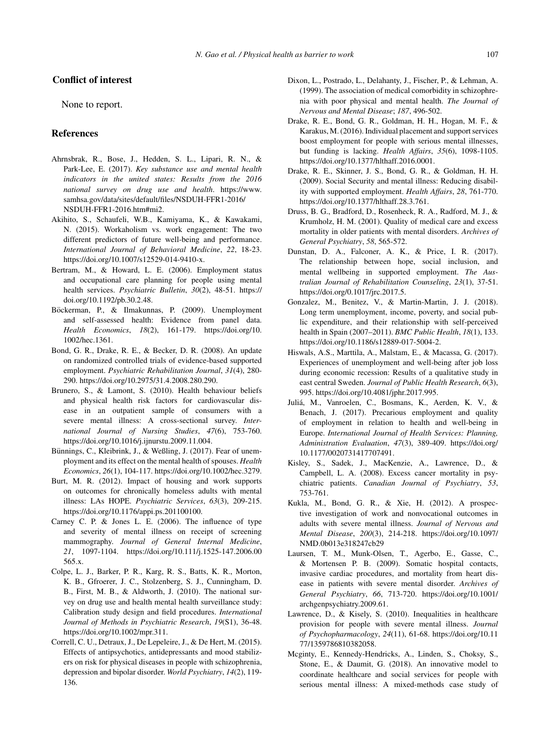## **Conflict of interest**

None to report.

## **References**

- Ahrnsbrak, R., Bose, J., Hedden, S. L., Lipari, R. N., & Park-Lee, E. (2017). *Key substance use and mental health indicators in the united states: Results from the 2016 national survey on drug use and health*. [https://www.](https://www.samhsa.gov/data/sites/default/files/NSDUH-FFR1-2016/NSDUH-FFR1-2016.htm#mi2) [samhsa.gov/data/sites/default/files/NSDUH-FFR1-2016/](https://www.samhsa.gov/data/sites/default/files/NSDUH-FFR1-2016/NSDUH-FFR1-2016.htm#mi2) [NSDUH-FFR1-2016.htm#mi2.](https://www.samhsa.gov/data/sites/default/files/NSDUH-FFR1-2016/NSDUH-FFR1-2016.htm#mi2)
- Akihito, S., Schaufeli, W.B., Kamiyama, K., & Kawakami, N. (2015). Workaholism vs. work engagement: The two different predictors of future well-being and performance. *International Journal of Behavioral Medicine*, *22*, 18-23. [https://doi.org/10.1007/s12529-014-9410-x.](https://doi.org/10.1007/s12529-014-9410-x)
- Bertram, M., & Howard, L. E. (2006). Employment status and occupational care planning for people using mental health services. *Psychiatric Bulletin*, *30*(2), 48-51. [https://](https://doi.org/10.1192/pb.30.2.48) [doi.org/10.1192/pb.30.2.48](https://doi.org/10.1192/pb.30.2.48).
- Böckerman, P., & Ilmakunnas, P. (2009). Unemployment and self-assessed health: Evidence from panel data. *Health Economics*, *18*(2), 161-179. [https://doi.org/10.](https://doi.org/10.1002/hec.1361) [1002/hec.1361](https://doi.org/10.1002/hec.1361).
- Bond, G. R., Drake, R. E., & Becker, D. R. (2008). An update on randomized controlled trials of evidence-based supported employment. *Psychiatric Rehabilitation Journal*, *31*(4), 280- 290. [https://doi.org/10.2975/31.4.2008.280.290.](https://doi.org/10.2975/31.4.2008.280.290)
- Brunero, S., & Lamont, S. (2010). Health behaviour beliefs and physical health risk factors for cardiovascular disease in an outpatient sample of consumers with a severe mental illness: A cross-sectional survey. *International Journal of Nursing Studies*, *47*(6), 753-760. <https://doi.org/10.1016/j.ijnurstu.2009.11.004>.
- Bünnings, C., Kleibrink, J., & Weßling, J. (2017). Fear of unemployment and its effect on the mental health of spouses. *Health Economics*, *26*(1), 104-117.<https://doi.org/10.1002/hec.3279>.
- Burt, M. R. (2012). Impact of housing and work supports on outcomes for chronically homeless adults with mental illness: LAs HOPE. *Psychiatric Services*, *63*(3), 209-215. [https://doi.org/10.1176/appi.ps.201100100.](https://doi.org/10.1176/appi.ps.201100100)
- Carney C. P. & Jones L. E. (2006). The influence of type and severity of mental illness on receipt of screening mammography. *Journal of General Internal Medicine*, *21*, 1097-1104. [https://doi.org/10.111/j.1525-147.2006.00](https://doi.org/10.111/j.1525-147.2006.00565.x) [565.x.](https://doi.org/10.111/j.1525-147.2006.00565.x)
- Colpe, L. J., Barker, P. R., Karg, R. S., Batts, K. R., Morton, K. B., Gfroerer, J. C., Stolzenberg, S. J., Cunningham, D. B., First, M. B., & Aldworth, J. (2010). The national survey on drug use and health mental health surveillance study: Calibration study design and field procedures. *International Journal of Methods in Psychiatric Research*, *19*(S1), 36-48. <https://doi.org/10.1002/mpr.311>.
- Correll, C. U., Detraux, J., De Lepeleire, J., & De Hert, M. (2015). Effects of antipsychotics, antidepressants and mood stabilizers on risk for physical diseases in people with schizophrenia, depression and bipolar disorder. *World Psychiatry*, *14*(2), 119- 136.
- Dixon, L., Postrado, L., Delahanty, J., Fischer, P., & Lehman, A. (1999). The association of medical comorbidity in schizophrenia with poor physical and mental health. *The Journal of Nervous and Mental Disease*; *187*, 496-502.
- Drake, R. E., Bond, G. R., Goldman, H. H., Hogan, M. F., & Karakus, M. (2016). Individual placement and support services boost employment for people with serious mental illnesses, but funding is lacking. *Health Affairs*, *35*(6), 1098-1105. [https://doi.org/10.1377/hlthaff.2016.0001.](https://doi.org/10.1377/hlthaff.2016.0001)
- Drake, R. E., Skinner, J. S., Bond, G. R., & Goldman, H. H. (2009). Social Security and mental illness: Reducing disability with supported employment. *Health Affairs*, *28*, 761-770. [https://doi.org/10.1377/hlthaff.28.3.761.](https://doi.org/10.1377/hlthaff.28.3.761)
- Druss, B. G., Bradford, D., Rosenheck, R. A., Radford, M. J., & Krumholz, H. M. (2001). Quality of medical care and excess mortality in older patients with mental disorders. *Archives of General Psychiatry*, *58*, 565-572.
- Dunstan, D. A., Falconer, A. K., & Price, I. R. (2017). The relationship between hope, social inclusion, and mental wellbeing in supported employment. *The Australian Journal of Rehabilitation Counseling*, *23*(1), 37-51. <https://doi.org/0.1017/jrc.2017.5>.
- Gonzalez, M., Benitez, V., & Martin-Martin, J. J. (2018). Long term unemployment, income, poverty, and social public expenditure, and their relationship with self-perceived health in Spain (2007–2011). *BMC Public Health*, *18*(1), 133. [https://doi.org/10.1186/s12889-017-5004-2.](https://doi.org/10.1186/s12889-017-5004-2)
- Hiswals, A.S., Marttila, A., Malstam, E., & Macassa, G. (2017). Experiences of unemployment and well-being after job loss during economic recession: Results of a qualitative study in east central Sweden. *Journal of Public Health Research*, *6*(3), 995.<https://doi.org/10.4081/jphr.2017.995>.
- Julia, M., Vanroelen, C., Bosmans, K., Aerden, K. V., & ´ Benach, J. (2017). Precarious employment and quality of employment in relation to health and well-being in Europe. *International Journal of Health Services: Planning, Administration Evaluation*, *47*(3), 389-409. [https://doi.org/](https://doi.org/10.1177/0020731417707491) [10.1177/0020731417707491.](https://doi.org/10.1177/0020731417707491)
- Kisley, S., Sadek, J., MacKenzie, A., Lawrence, D., & Campbell, L. A. (2008). Excess cancer mortality in psychiatric patients. *Canadian Journal of Psychiatry*, *53*, 753-761.
- Kukla, M., Bond, G. R., & Xie, H. (2012). A prospective investigation of work and nonvocational outcomes in adults with severe mental illness. *Journal of Nervous and Mental Disease*, *200*(3), 214-218. [https://doi.org/10.1097/](https://doi.org/10.1097/NMD.0b013e318247cb29) [NMD.0b013e318247cb29](https://doi.org/10.1097/NMD.0b013e318247cb29)
- Laursen, T. M., Munk-Olsen, T., Agerbo, E., Gasse, C., & Mortensen P. B. (2009). Somatic hospital contacts, invasive cardiac procedures, and mortality from heart disease in patients with severe mental disorder. *Archives of General Psychiatry*, *66*, 713-720. [https://doi.org/10.1001/](https://doi.org/10.1001/archgenpsychiatry.2009.61) [archgenpsychiatry.2009.61.](https://doi.org/10.1001/archgenpsychiatry.2009.61)
- Lawrence, D., & Kisely, S. (2010). Inequalities in healthcare provision for people with severe mental illness. *Journal of Psychopharmacology*, *24*(11), 61-68. [https://doi.org/10.11](https://doi.org/10.1177/1359786810382058) [77/1359786810382058.](https://doi.org/10.1177/1359786810382058)
- Mcginty, E., Kennedy-Hendricks, A., Linden, S., Choksy, S., Stone, E., & Daumit, G. (2018). An innovative model to coordinate healthcare and social services for people with serious mental illness: A mixed-methods case study of